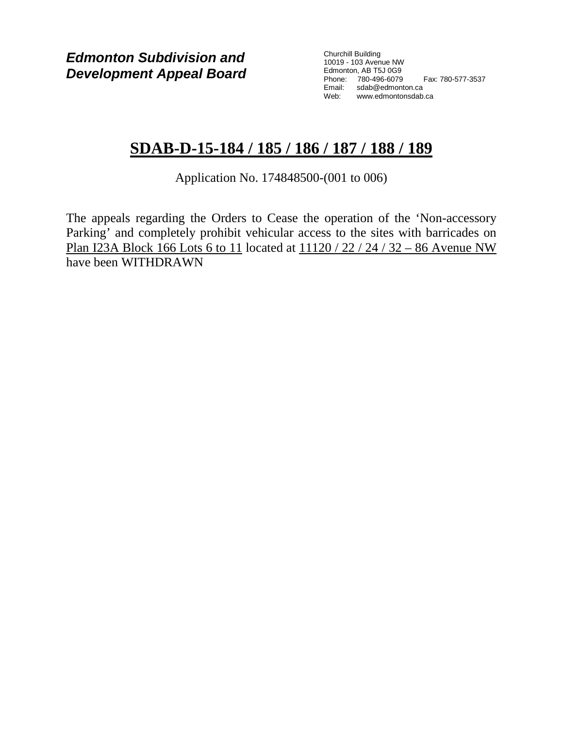*Edmonton Subdivision and Development Appeal Board* Churchill Building 10019 - 103 Avenue NW Edmonton, AB T5J 0G9 Phone: 780-496-6079 Fax: 780-577-3537 Email: sdab@edmonton.ca Web: www.edmontonsdab.ca

# **SDAB-D-15-184 / 185 / 186 / 187 / 188 / 189**

### Application No. 174848500-(001 to 006)

The appeals regarding the Orders to Cease the operation of the 'Non-accessory Parking' and completely prohibit vehicular access to the sites with barricades on Plan I23A Block 166 Lots 6 to 11 located at 11120 / 22 / 24 / 32 – 86 Avenue NW have been WITHDRAWN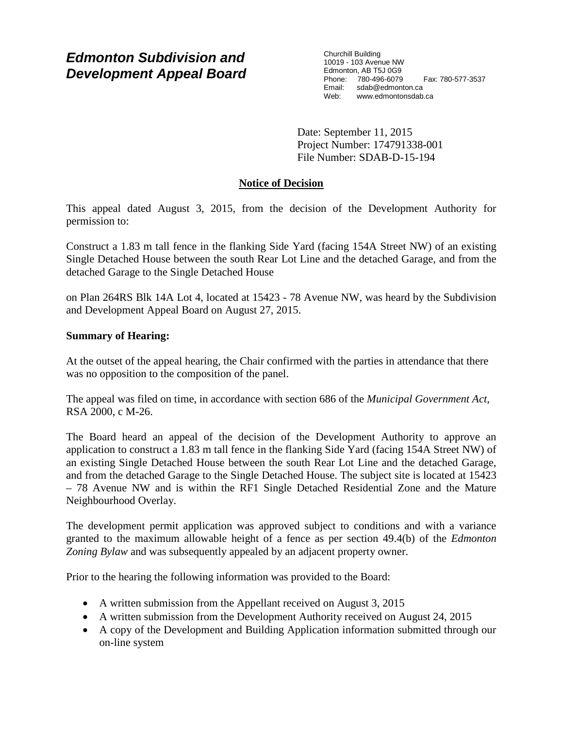## *Edmonton Subdivision and Development Appeal Board*

Churchill Building 10019 - 103 Avenue NW Edmonton, AB T5J 0G9 Phone: 780-496-6079 Fax: 780-577-3537 Email: sdab@edmonton.ca<br>Web: www.edmontonsdab www.edmontonsdab.ca

Date: September 11, 2015 Project Number: 174791338-001 File Number: SDAB-D-15-194

#### **Notice of Decision**

This appeal dated August 3, 2015, from the decision of the Development Authority for permission to:

Construct a 1.83 m tall fence in the flanking Side Yard (facing 154A Street NW) of an existing Single Detached House between the south Rear Lot Line and the detached Garage, and from the detached Garage to the Single Detached House

on Plan 264RS Blk 14A Lot 4, located at 15423 - 78 Avenue NW, was heard by the Subdivision and Development Appeal Board on August 27, 2015.

#### **Summary of Hearing:**

At the outset of the appeal hearing, the Chair confirmed with the parties in attendance that there was no opposition to the composition of the panel.

The appeal was filed on time, in accordance with section 686 of the *Municipal Government Act*, RSA 2000, c M-26.

The Board heard an appeal of the decision of the Development Authority to approve an application to construct a 1.83 m tall fence in the flanking Side Yard (facing 154A Street NW) of an existing Single Detached House between the south Rear Lot Line and the detached Garage, and from the detached Garage to the Single Detached House. The subject site is located at 15423 – 78 Avenue NW and is within the RF1 Single Detached Residential Zone and the Mature Neighbourhood Overlay.

The development permit application was approved subject to conditions and with a variance granted to the maximum allowable height of a fence as per section 49.4(b) of the *Edmonton Zoning Bylaw* and was subsequently appealed by an adjacent property owner.

Prior to the hearing the following information was provided to the Board:

- A written submission from the Appellant received on August 3, 2015
- A written submission from the Development Authority received on August 24, 2015
- A copy of the Development and Building Application information submitted through our on-line system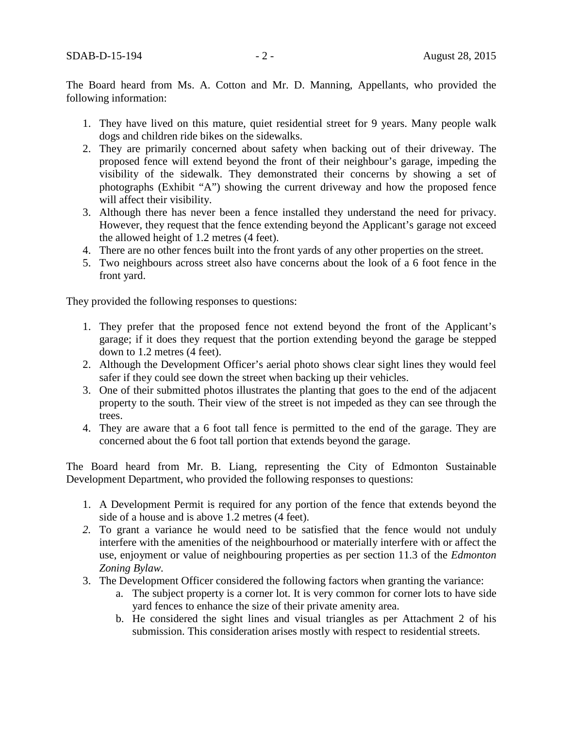The Board heard from Ms. A. Cotton and Mr. D. Manning, Appellants, who provided the following information:

- 1. They have lived on this mature, quiet residential street for 9 years. Many people walk dogs and children ride bikes on the sidewalks.
- 2. They are primarily concerned about safety when backing out of their driveway. The proposed fence will extend beyond the front of their neighbour's garage, impeding the visibility of the sidewalk. They demonstrated their concerns by showing a set of photographs (Exhibit "A") showing the current driveway and how the proposed fence will affect their visibility.
- 3. Although there has never been a fence installed they understand the need for privacy. However, they request that the fence extending beyond the Applicant's garage not exceed the allowed height of 1.2 metres (4 feet).
- 4. There are no other fences built into the front yards of any other properties on the street.
- 5. Two neighbours across street also have concerns about the look of a 6 foot fence in the front yard.

They provided the following responses to questions:

- 1. They prefer that the proposed fence not extend beyond the front of the Applicant's garage; if it does they request that the portion extending beyond the garage be stepped down to 1.2 metres (4 feet).
- 2. Although the Development Officer's aerial photo shows clear sight lines they would feel safer if they could see down the street when backing up their vehicles.
- 3. One of their submitted photos illustrates the planting that goes to the end of the adjacent property to the south. Their view of the street is not impeded as they can see through the trees.
- 4. They are aware that a 6 foot tall fence is permitted to the end of the garage. They are concerned about the 6 foot tall portion that extends beyond the garage.

The Board heard from Mr. B. Liang, representing the City of Edmonton Sustainable Development Department, who provided the following responses to questions:

- 1. A Development Permit is required for any portion of the fence that extends beyond the side of a house and is above 1.2 metres (4 feet).
- *2.* To grant a variance he would need to be satisfied that the fence would not unduly interfere with the amenities of the neighbourhood or materially interfere with or affect the use, enjoyment or value of neighbouring properties as per section 11.3 of the *Edmonton Zoning Bylaw.*
- 3. The Development Officer considered the following factors when granting the variance:
	- a. The subject property is a corner lot. It is very common for corner lots to have side yard fences to enhance the size of their private amenity area.
	- b. He considered the sight lines and visual triangles as per Attachment 2 of his submission. This consideration arises mostly with respect to residential streets.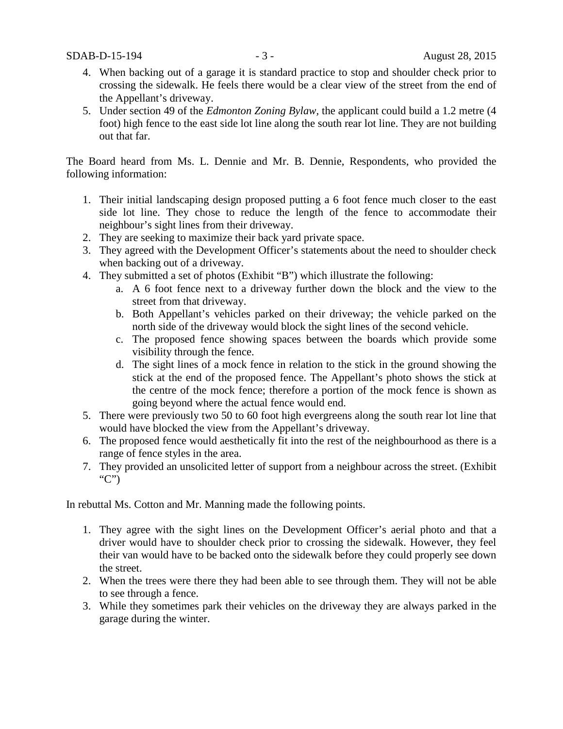- 4. When backing out of a garage it is standard practice to stop and shoulder check prior to crossing the sidewalk. He feels there would be a clear view of the street from the end of the Appellant's driveway.
- 5. Under section 49 of the *Edmonton Zoning Bylaw,* the applicant could build a 1.2 metre (4 foot) high fence to the east side lot line along the south rear lot line. They are not building out that far.

The Board heard from Ms. L. Dennie and Mr. B. Dennie, Respondents, who provided the following information:

- 1. Their initial landscaping design proposed putting a 6 foot fence much closer to the east side lot line. They chose to reduce the length of the fence to accommodate their neighbour's sight lines from their driveway.
- 2. They are seeking to maximize their back yard private space.
- 3. They agreed with the Development Officer's statements about the need to shoulder check when backing out of a driveway.
- 4. They submitted a set of photos (Exhibit "B") which illustrate the following:
	- a. A 6 foot fence next to a driveway further down the block and the view to the street from that driveway.
	- b. Both Appellant's vehicles parked on their driveway; the vehicle parked on the north side of the driveway would block the sight lines of the second vehicle.
	- c. The proposed fence showing spaces between the boards which provide some visibility through the fence.
	- d. The sight lines of a mock fence in relation to the stick in the ground showing the stick at the end of the proposed fence. The Appellant's photo shows the stick at the centre of the mock fence; therefore a portion of the mock fence is shown as going beyond where the actual fence would end.
- 5. There were previously two 50 to 60 foot high evergreens along the south rear lot line that would have blocked the view from the Appellant's driveway.
- 6. The proposed fence would aesthetically fit into the rest of the neighbourhood as there is a range of fence styles in the area.
- 7. They provided an unsolicited letter of support from a neighbour across the street. (Exhibit "C")

In rebuttal Ms. Cotton and Mr. Manning made the following points.

- 1. They agree with the sight lines on the Development Officer's aerial photo and that a driver would have to shoulder check prior to crossing the sidewalk. However, they feel their van would have to be backed onto the sidewalk before they could properly see down the street.
- 2. When the trees were there they had been able to see through them. They will not be able to see through a fence.
- 3. While they sometimes park their vehicles on the driveway they are always parked in the garage during the winter.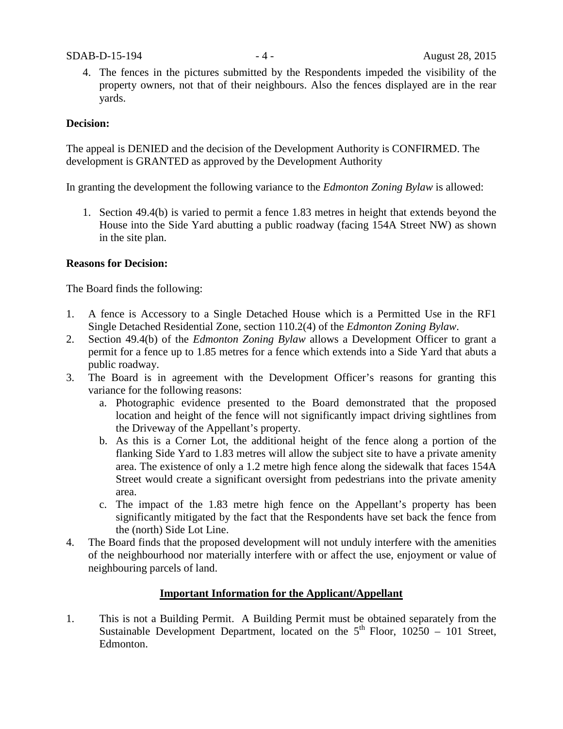4. The fences in the pictures submitted by the Respondents impeded the visibility of the property owners, not that of their neighbours. Also the fences displayed are in the rear yards.

#### **Decision:**

The appeal is DENIED and the decision of the Development Authority is CONFIRMED. The development is GRANTED as approved by the Development Authority

In granting the development the following variance to the *Edmonton Zoning Bylaw* is allowed:

1. Section 49.4(b) is varied to permit a fence 1.83 metres in height that extends beyond the House into the Side Yard abutting a public roadway (facing 154A Street NW) as shown in the site plan.

#### **Reasons for Decision:**

The Board finds the following:

- 1. A fence is Accessory to a Single Detached House which is a Permitted Use in the RF1 Single Detached Residential Zone, section 110.2(4) of the *Edmonton Zoning Bylaw*.
- 2. Section 49.4(b) of the *Edmonton Zoning Bylaw* allows a Development Officer to grant a permit for a fence up to 1.85 metres for a fence which extends into a Side Yard that abuts a public roadway.
- 3. The Board is in agreement with the Development Officer's reasons for granting this variance for the following reasons:
	- a. Photographic evidence presented to the Board demonstrated that the proposed location and height of the fence will not significantly impact driving sightlines from the Driveway of the Appellant's property.
	- b. As this is a Corner Lot, the additional height of the fence along a portion of the flanking Side Yard to 1.83 metres will allow the subject site to have a private amenity area. The existence of only a 1.2 metre high fence along the sidewalk that faces 154A Street would create a significant oversight from pedestrians into the private amenity area.
	- c. The impact of the 1.83 metre high fence on the Appellant's property has been significantly mitigated by the fact that the Respondents have set back the fence from the (north) Side Lot Line.
- 4. The Board finds that the proposed development will not unduly interfere with the amenities of the neighbourhood nor materially interfere with or affect the use, enjoyment or value of neighbouring parcels of land.

#### **Important Information for the Applicant/Appellant**

1. This is not a Building Permit. A Building Permit must be obtained separately from the Sustainable Development Department, located on the  $5<sup>th</sup>$  Floor, 10250 – 101 Street, Edmonton.